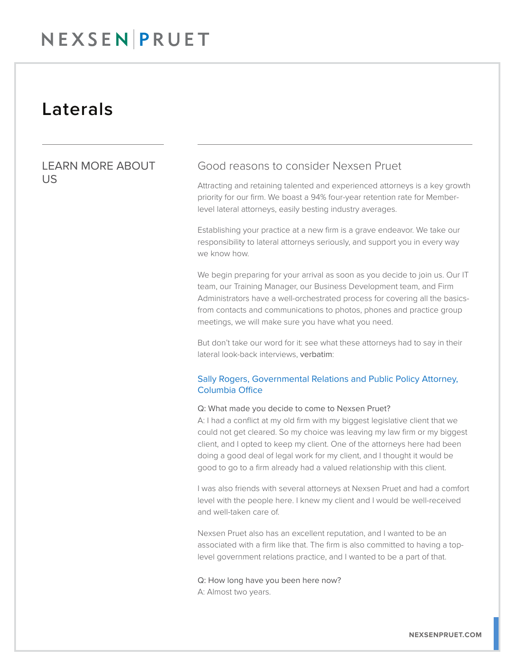## NEXSENPRUET

### Laterals

### LEARN MORE ABOUT US

### Good reasons to consider Nexsen Pruet

Attracting and retaining talented and experienced attorneys is a key growth priority for our firm. We boast a 94% four-year retention rate for Memberlevel lateral attorneys, easily besting industry averages.

Establishing your practice at a new firm is a grave endeavor. We take our responsibility to lateral attorneys seriously, and support you in every way we know how.

We begin preparing for your arrival as soon as you decide to join us. Our IT team, our Training Manager, our Business Development team, and Firm Administrators have a well-orchestrated process for covering all the basicsfrom contacts and communications to photos, phones and practice group meetings, we will make sure you have what you need.

But don't take our word for it: see what these attorneys had to say in their lateral look-back interviews, verbatim:

#### Sally Rogers, Governmental Relations and Public Policy Attorney, Columbia Office

#### Q: What made you decide to come to Nexsen Pruet?

A: I had a conflict at my old firm with my biggest legislative client that we could not get cleared. So my choice was leaving my law firm or my biggest client, and I opted to keep my client. One of the attorneys here had been doing a good deal of legal work for my client, and I thought it would be good to go to a firm already had a valued relationship with this client.

I was also friends with several attorneys at Nexsen Pruet and had a comfort level with the people here. I knew my client and I would be well-received and well-taken care of.

Nexsen Pruet also has an excellent reputation, and I wanted to be an associated with a firm like that. The firm is also committed to having a toplevel government relations practice, and I wanted to be a part of that.

Q: How long have you been here now? A: Almost two years.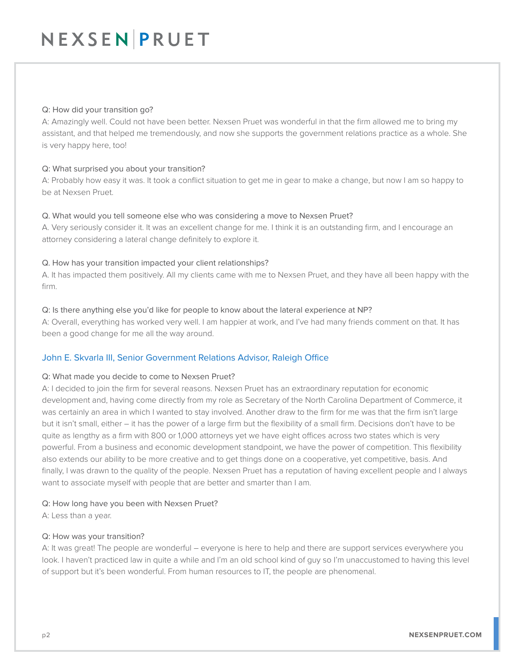#### Q: How did your transition go?

A: Amazingly well. Could not have been better. Nexsen Pruet was wonderful in that the firm allowed me to bring my assistant, and that helped me tremendously, and now she supports the government relations practice as a whole. She is very happy here, too!

#### Q: What surprised you about your transition?

A: Probably how easy it was. It took a conflict situation to get me in gear to make a change, but now I am so happy to be at Nexsen Pruet.

#### Q. What would you tell someone else who was considering a move to Nexsen Pruet?

A. Very seriously consider it. It was an excellent change for me. I think it is an outstanding firm, and I encourage an attorney considering a lateral change definitely to explore it.

#### Q. How has your transition impacted your client relationships?

A. It has impacted them positively. All my clients came with me to Nexsen Pruet, and they have all been happy with the firm.

#### Q: Is there anything else you'd like for people to know about the lateral experience at NP?

A: Overall, everything has worked very well. I am happier at work, and I've had many friends comment on that. It has been a good change for me all the way around.

#### John E. Skvarla III, Senior Government Relations Advisor, Raleigh Office

#### Q: What made you decide to come to Nexsen Pruet?

A: I decided to join the firm for several reasons. Nexsen Pruet has an extraordinary reputation for economic development and, having come directly from my role as Secretary of the North Carolina Department of Commerce, it was certainly an area in which I wanted to stay involved. Another draw to the firm for me was that the firm isn't large but it isn't small, either – it has the power of a large firm but the flexibility of a small firm. Decisions don't have to be quite as lengthy as a firm with 800 or 1,000 attorneys yet we have eight offices across two states which is very powerful. From a business and economic development standpoint, we have the power of competition. This flexibility also extends our ability to be more creative and to get things done on a cooperative, yet competitive, basis. And finally, I was drawn to the quality of the people. Nexsen Pruet has a reputation of having excellent people and I always want to associate myself with people that are better and smarter than I am.

#### Q: How long have you been with Nexsen Pruet?

A: Less than a year.

#### Q: How was your transition?

A: It was great! The people are wonderful – everyone is here to help and there are support services everywhere you look. I haven't practiced law in quite a while and I'm an old school kind of guy so I'm unaccustomed to having this level of support but it's been wonderful. From human resources to IT, the people are phenomenal.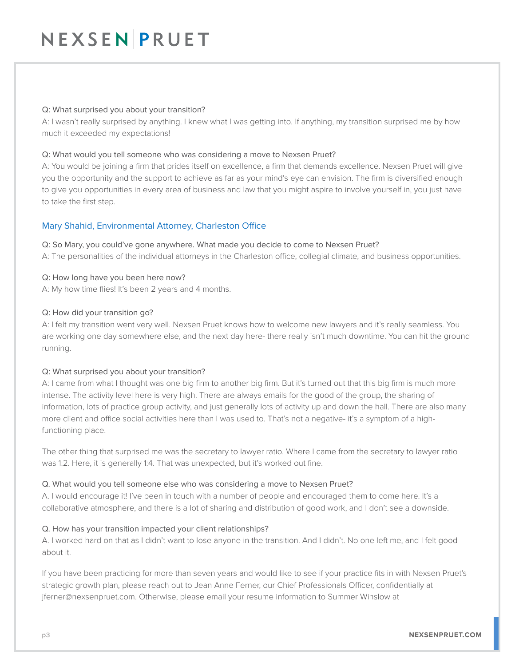# NEXSEN PRUET

#### Q: What surprised you about your transition?

A: I wasn't really surprised by anything. I knew what I was getting into. If anything, my transition surprised me by how much it exceeded my expectations!

#### Q: What would you tell someone who was considering a move to Nexsen Pruet?

A: You would be joining a firm that prides itself on excellence, a firm that demands excellence. Nexsen Pruet will give you the opportunity and the support to achieve as far as your mind's eye can envision. The firm is diversified enough to give you opportunities in every area of business and law that you might aspire to involve yourself in, you just have to take the first step.

#### Mary Shahid, Environmental Attorney, Charleston Office

#### Q: So Mary, you could've gone anywhere. What made you decide to come to Nexsen Pruet?

A: The personalities of the individual attorneys in the Charleston office, collegial climate, and business opportunities.

#### Q: How long have you been here now?

A: My how time flies! It's been 2 years and 4 months.

#### Q: How did your transition go?

A: I felt my transition went very well. Nexsen Pruet knows how to welcome new lawyers and it's really seamless. You are working one day somewhere else, and the next day here- there really isn't much downtime. You can hit the ground running.

#### Q: What surprised you about your transition?

A: I came from what I thought was one big firm to another big firm. But it's turned out that this big firm is much more intense. The activity level here is very high. There are always emails for the good of the group, the sharing of information, lots of practice group activity, and just generally lots of activity up and down the hall. There are also many more client and office social activities here than I was used to. That's not a negative- it's a symptom of a highfunctioning place.

The other thing that surprised me was the secretary to lawyer ratio. Where I came from the secretary to lawyer ratio was 1:2. Here, it is generally 1:4. That was unexpected, but it's worked out fine.

#### Q. What would you tell someone else who was considering a move to Nexsen Pruet?

A. I would encourage it! I've been in touch with a number of people and encouraged them to come here. It's a collaborative atmosphere, and there is a lot of sharing and distribution of good work, and I don't see a downside.

#### Q. How has your transition impacted your client relationships?

A. I worked hard on that as I didn't want to lose anyone in the transition. And I didn't. No one left me, and I felt good about it.

If you have been practicing for more than seven years and would like to see if your practice fits in with Nexsen Pruet's strategic growth plan, please reach out to Jean Anne Ferner, our Chief Professionals Officer, confidentially at jferner@nexsenpruet.com. Otherwise, please email your resume information to Summer Winslow at